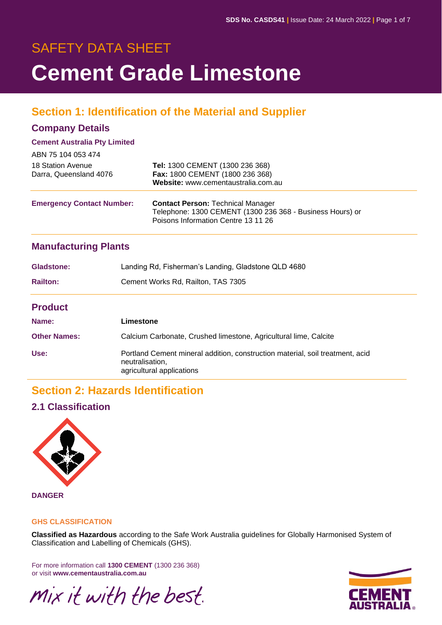# SAFETY DATA SHEET **Cement Grade Limestone**

## **Section 1: Identification of the Material and Supplier**

#### **Company Details**

#### **Cement Australia Pty Limited**

| ABN 75 104 053 474                          |                                                                                                                                              |
|---------------------------------------------|----------------------------------------------------------------------------------------------------------------------------------------------|
| 18 Station Avenue<br>Darra, Queensland 4076 | Tel: 1300 CEMENT (1300 236 368)<br>Fax: 1800 CEMENT (1800 236 368)<br>Website: www.cementaustralia.com.au                                    |
| <b>Emergency Contact Number:</b>            | <b>Contact Person: Technical Manager</b><br>Telephone: 1300 CEMENT (1300 236 368 - Business Hours) or<br>Poisons Information Centre 13 11 26 |

#### **Manufacturing Plants**

| Gladstone:      | Landing Rd, Fisherman's Landing, Gladstone QLD 4680 |
|-----------------|-----------------------------------------------------|
| <b>Railton:</b> | Cement Works Rd, Railton, TAS 7305                  |
| <b>Product</b>  |                                                     |

| Name:               | Limestone                                                                                                                     |
|---------------------|-------------------------------------------------------------------------------------------------------------------------------|
| <b>Other Names:</b> | Calcium Carbonate, Crushed limestone, Agricultural lime, Calcite                                                              |
| Use:                | Portland Cement mineral addition, construction material, soil treatment, acid<br>neutralisation,<br>agricultural applications |

## **Section 2: Hazards Identification**

#### **2.1 Classification**



## **GHS CLASSIFICATION**

**Classified as Hazardous** according to the Safe Work Australia guidelines for Globally Harmonised System of Classification and Labelling of Chemicals (GHS).

For more information call **1300 CEMENT** (1300 236 368) or visit **www.cementaustralia.com.au**

Mix it with the best.

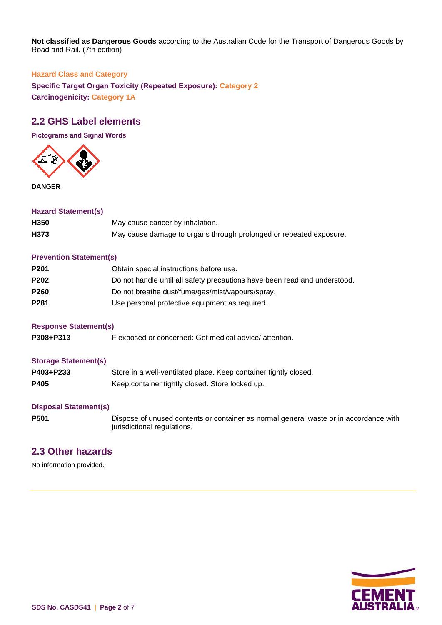**Not classified as Dangerous Goods** according to the Australian Code for the Transport of Dangerous Goods by Road and Rail. (7th edition)

#### **Hazard Class and Category**

**Specific Target Organ Toxicity (Repeated Exposure): Category 2 Carcinogenicity: Category 1A**

#### **2.2 GHS Label elements**

**Pictograms and Signal Words**



**DANGER**

#### **Hazard Statement(s)**

| H350 | May cause cancer by inhalation.                                    |
|------|--------------------------------------------------------------------|
| H373 | May cause damage to organs through prolonged or repeated exposure. |

#### **Prevention Statement(s)**

| P <sub>201</sub> | Obtain special instructions before use.                                   |
|------------------|---------------------------------------------------------------------------|
| P <sub>202</sub> | Do not handle until all safety precautions have been read and understood. |
| <b>P260</b>      | Do not breathe dust/fume/gas/mist/vapours/spray.                          |
| P <sub>281</sub> | Use personal protective equipment as required.                            |

#### **Response Statement(s)**

P308+P313 F exposed or concerned: Get medical advice/ attention.

#### **Storage Statement(s)**

| P403+P233 | Store in a well-ventilated place. Keep container tightly closed. |
|-----------|------------------------------------------------------------------|
| P405      | Keep container tightly closed. Store locked up.                  |

#### **Disposal Statement(s)**

**P501** Dispose of unused contents or container as normal general waste or in accordance with jurisdictional regulations.

#### **2.3 Other hazards**

No information provided.

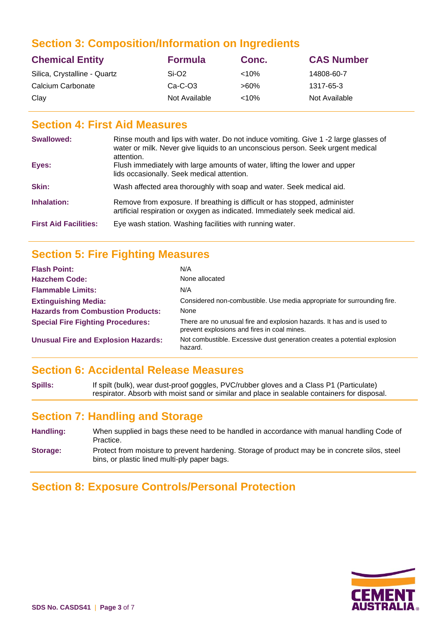### **Section 3: Composition/Information on Ingredients**

| <b>Chemical Entity</b>       | <b>Formula</b>    | Conc.     | <b>CAS Number</b> |
|------------------------------|-------------------|-----------|-------------------|
| Silica, Crystalline - Quartz | Si-O <sub>2</sub> | ${<}10\%$ | 14808-60-7        |
| Calcium Carbonate            | $Ca-C-O3$         | $>60\%$   | 1317-65-3         |
| Clay                         | Not Available     | $< 10\%$  | Not Available     |

#### **Section 4: First Aid Measures**

| Swallowed:                   | Rinse mouth and lips with water. Do not induce vomiting. Give 1 -2 large glasses of<br>water or milk. Never give liquids to an unconscious person. Seek urgent medical<br>attention. |
|------------------------------|--------------------------------------------------------------------------------------------------------------------------------------------------------------------------------------|
| Eyes:                        | Flush immediately with large amounts of water, lifting the lower and upper<br>lids occasionally. Seek medical attention.                                                             |
| Skin:                        | Wash affected area thoroughly with soap and water. Seek medical aid.                                                                                                                 |
| Inhalation:                  | Remove from exposure. If breathing is difficult or has stopped, administer<br>artificial respiration or oxygen as indicated. Immediately seek medical aid.                           |
| <b>First Aid Facilities:</b> | Eye wash station. Washing facilities with running water.                                                                                                                             |

## **Section 5: Fire Fighting Measures**

| <b>Flash Point:</b>                        | N/A                                                                                                                   |
|--------------------------------------------|-----------------------------------------------------------------------------------------------------------------------|
| <b>Hazchem Code:</b>                       | None allocated                                                                                                        |
| <b>Flammable Limits:</b>                   | N/A                                                                                                                   |
| <b>Extinguishing Media:</b>                | Considered non-combustible. Use media appropriate for surrounding fire.                                               |
| <b>Hazards from Combustion Products:</b>   | None                                                                                                                  |
| <b>Special Fire Fighting Procedures:</b>   | There are no unusual fire and explosion hazards. It has and is used to<br>prevent explosions and fires in coal mines. |
| <b>Unusual Fire and Explosion Hazards:</b> | Not combustible. Excessive dust generation creates a potential explosion<br>hazard.                                   |

#### **Section 6: Accidental Release Measures**

**Spills:** If spilt (bulk), wear dust-proof goggles, PVC/rubber gloves and a Class P1 (Particulate) respirator. Absorb with moist sand or similar and place in sealable containers for disposal.

#### **Section 7: Handling and Storage**

**Handling:** When supplied in bags these need to be handled in accordance with manual handling Code of Practice. **Storage:** Protect from moisture to prevent hardening. Storage of product may be in concrete silos, steel

### **Section 8: Exposure Controls/Personal Protection**

bins, or plastic lined multi-ply paper bags.

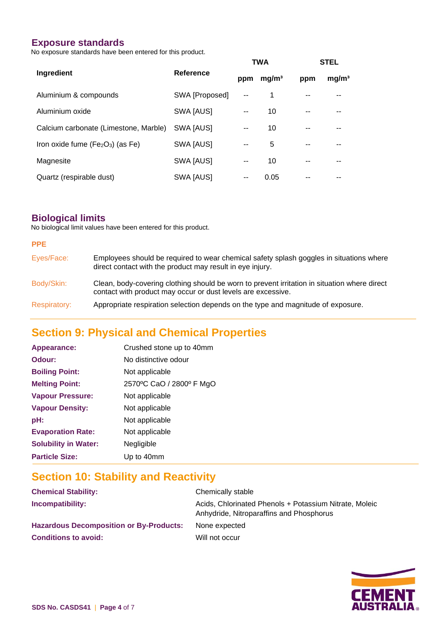#### **Exposure standards**

No exposure standards have been entered for this product.

|                                       |                  |       | <b>TWA</b>        |     | <b>STEL</b>       |
|---------------------------------------|------------------|-------|-------------------|-----|-------------------|
| Ingredient                            | <b>Reference</b> | ppm   | mg/m <sup>3</sup> | ppm | mg/m <sup>3</sup> |
| Aluminium & compounds                 | SWA [Proposed]   |       | 1                 |     |                   |
| Aluminium oxide                       | SWA [AUS]        |       | 10                | --  |                   |
| Calcium carbonate (Limestone, Marble) | SWA [AUS]        | $- -$ | 10                | --  |                   |
| Iron oxide fume $(Fe2O3)$ (as Fe)     | SWA [AUS]        | --    | 5                 | --  |                   |
| Magnesite                             | SWA [AUS]        |       | 10                |     |                   |
| Quartz (respirable dust)              | SWA [AUS]        | --    | 0.05              |     |                   |

#### **Biological limits**

No biological limit values have been entered for this product.

| PPE.                |                                                                                                                                                              |
|---------------------|--------------------------------------------------------------------------------------------------------------------------------------------------------------|
| Eyes/Face:          | Employees should be required to wear chemical safety splash goggles in situations where<br>direct contact with the product may result in eye injury.         |
| Body/Skin:          | Clean, body-covering clothing should be worn to prevent irritation in situation where direct<br>contact with product may occur or dust levels are excessive. |
| <b>Respiratory:</b> | Appropriate respiration selection depends on the type and magnitude of exposure.                                                                             |

## **Section 9: Physical and Chemical Properties**

| Appearance:                 | Crushed stone up to 40mm |
|-----------------------------|--------------------------|
| Odour:                      | No distinctive odour     |
| <b>Boiling Point:</b>       | Not applicable           |
| <b>Melting Point:</b>       | 2570°C CaO / 2800° F MgO |
| <b>Vapour Pressure:</b>     | Not applicable           |
| <b>Vapour Density:</b>      | Not applicable           |
| pH:                         | Not applicable           |
| <b>Evaporation Rate:</b>    | Not applicable           |
| <b>Solubility in Water:</b> | Negligible               |
| <b>Particle Size:</b>       | Up to 40mm               |

## **Section 10: Stability and Reactivity**

| <b>Chemical Stability:</b>                     | Chemically stable                                                                                  |
|------------------------------------------------|----------------------------------------------------------------------------------------------------|
| <b>Incompatibility:</b>                        | Acids, Chlorinated Phenols + Potassium Nitrate, Moleic<br>Anhydride, Nitroparaffins and Phosphorus |
| <b>Hazardous Decomposition or By-Products:</b> | None expected                                                                                      |
| <b>Conditions to avoid:</b>                    | Will not occur                                                                                     |

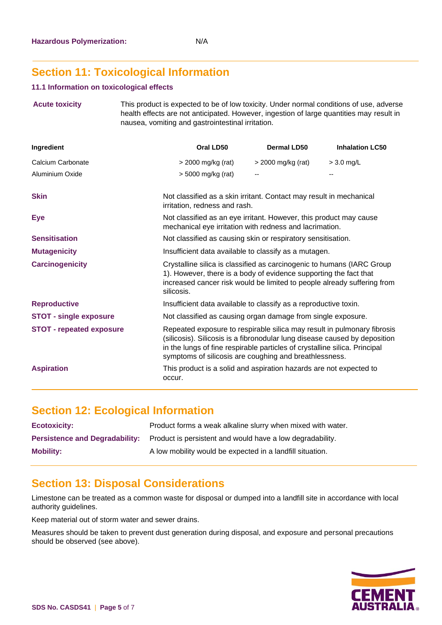## **Section 11: Toxicological Information**

#### **11.1 Information on toxicological effects**

**Acute toxicity** This product is expected to be of low toxicity. Under normal conditions of use, adverse health effects are not anticipated. However, ingestion of large quantities may result in nausea, vomiting and gastrointestinal irritation.

| <b>Ingredient</b>               | Oral LD50                                                                                                                                                                                                                                                                                     | Dermal LD50        | <b>Inhalation LC50</b> |
|---------------------------------|-----------------------------------------------------------------------------------------------------------------------------------------------------------------------------------------------------------------------------------------------------------------------------------------------|--------------------|------------------------|
| Calcium Carbonate               | $>$ 2000 mg/kg (rat)                                                                                                                                                                                                                                                                          | > 2000 mg/kg (rat) | $> 3.0$ mg/L           |
| Aluminium Oxide                 | > 5000 mg/kg (rat)                                                                                                                                                                                                                                                                            | --                 |                        |
| <b>Skin</b>                     | Not classified as a skin irritant. Contact may result in mechanical<br>irritation, redness and rash.                                                                                                                                                                                          |                    |                        |
| <b>Eye</b>                      | Not classified as an eye irritant. However, this product may cause<br>mechanical eye irritation with redness and lacrimation.                                                                                                                                                                 |                    |                        |
| <b>Sensitisation</b>            | Not classified as causing skin or respiratory sensitisation.                                                                                                                                                                                                                                  |                    |                        |
| <b>Mutagenicity</b>             | Insufficient data available to classify as a mutagen.                                                                                                                                                                                                                                         |                    |                        |
| <b>Carcinogenicity</b>          | Crystalline silica is classified as carcinogenic to humans (IARC Group<br>1). However, there is a body of evidence supporting the fact that<br>increased cancer risk would be limited to people already suffering from<br>silicosis.                                                          |                    |                        |
| <b>Reproductive</b>             | Insufficient data available to classify as a reproductive toxin.                                                                                                                                                                                                                              |                    |                        |
| <b>STOT - single exposure</b>   | Not classified as causing organ damage from single exposure.                                                                                                                                                                                                                                  |                    |                        |
| <b>STOT - repeated exposure</b> | Repeated exposure to respirable silica may result in pulmonary fibrosis<br>(silicosis). Silicosis is a fibronodular lung disease caused by deposition<br>in the lungs of fine respirable particles of crystalline silica. Principal<br>symptoms of silicosis are coughing and breathlessness. |                    |                        |
| <b>Aspiration</b>               | This product is a solid and aspiration hazards are not expected to<br>occur.                                                                                                                                                                                                                  |                    |                        |

### **Section 12: Ecological Information**

| <b>Ecotoxicity:</b> | Product forms a weak alkaline slurry when mixed with water.                                     |
|---------------------|-------------------------------------------------------------------------------------------------|
|                     | <b>Persistence and Degradability:</b> Product is persistent and would have a low degradability. |
| <b>Mobility:</b>    | A low mobility would be expected in a landfill situation.                                       |

### **Section 13: Disposal Considerations**

Limestone can be treated as a common waste for disposal or dumped into a landfill site in accordance with local authority guidelines.

Keep material out of storm water and sewer drains.

Measures should be taken to prevent dust generation during disposal, and exposure and personal precautions should be observed (see above).

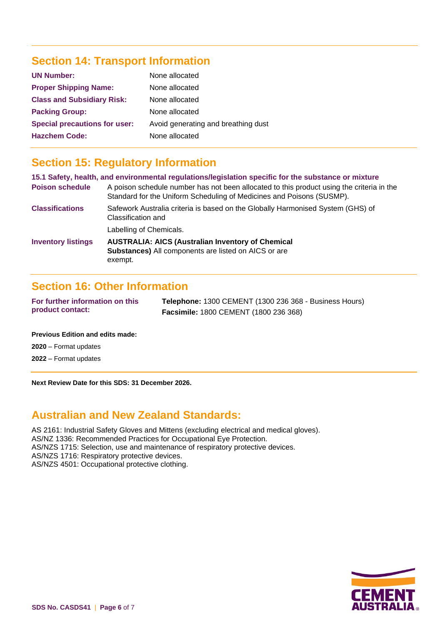## **Section 14: Transport Information**

| <b>UN Number:</b>                    | None allocated                      |
|--------------------------------------|-------------------------------------|
| <b>Proper Shipping Name:</b>         | None allocated                      |
| <b>Class and Subsidiary Risk:</b>    | None allocated                      |
| <b>Packing Group:</b>                | None allocated                      |
| <b>Special precautions for user:</b> | Avoid generating and breathing dust |
| <b>Hazchem Code:</b>                 | None allocated                      |

## **Section 15: Regulatory Information**

|                           | 15.1 Safety, health, and environmental regulations/legislation specific for the substance or mixture                                                               |
|---------------------------|--------------------------------------------------------------------------------------------------------------------------------------------------------------------|
| <b>Poison schedule</b>    | A poison schedule number has not been allocated to this product using the criteria in the<br>Standard for the Uniform Scheduling of Medicines and Poisons (SUSMP). |
| <b>Classifications</b>    | Safework Australia criteria is based on the Globally Harmonised System (GHS) of<br>Classification and                                                              |
|                           | Labelling of Chemicals.                                                                                                                                            |
| <b>Inventory listings</b> | <b>AUSTRALIA: AICS (Australian Inventory of Chemical</b><br><b>Substances)</b> All components are listed on AICS or are<br>exempt.                                 |

### **Section 16: Other Information**

| For further information on this | <b>Telephone: 1300 CEMENT (1300 236 368 - Business Hours)</b> |
|---------------------------------|---------------------------------------------------------------|
| product contact:                | <b>Facsimile: 1800 CEMENT (1800 236 368)</b>                  |

#### **Previous Edition and edits made:**

**2020** – Format updates

**2022** – Format updates

**Next Review Date for this SDS: 31 December 2026.**

### **Australian and New Zealand Standards:**

AS 2161: Industrial Safety Gloves and Mittens (excluding electrical and medical gloves).

AS/NZ 1336: Recommended Practices for Occupational Eye Protection.

AS/NZS 1715: Selection, use and maintenance of respiratory protective devices.

AS/NZS 1716: Respiratory protective devices.

AS/NZS 4501: Occupational protective clothing.